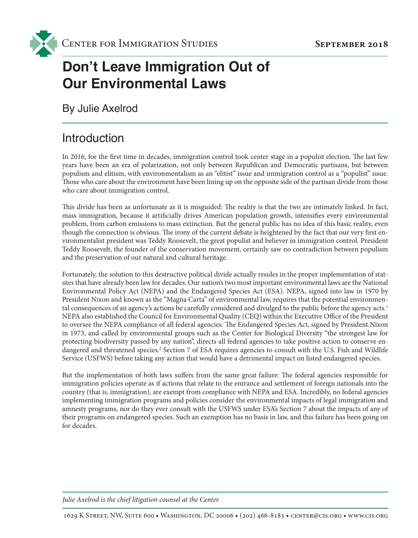

# **Don't Leave Immigration Out of Our Environmental Laws**

By Julie Axelrod

### Introduction

In 2016, for the first time in decades, immigration control took center stage in a populist election. The last few years have been an era of polarization, not only between Republican and Democratic partisans, but between populism and elitism, with environmentalism as an "elitist" issue and immigration control as a "populist" issue. Those who care about the environment have been lining up on the opposite side of the partisan divide from those who care about immigration control.

This divide has been as unfortunate as it is misguided: The reality is that the two are intimately linked. In fact, mass immigration, because it artificially drives American population growth, intensifies every environmental problem, from carbon emissions to mass extinction. But the general public has no idea of this basic reality, even though the connection is obvious. The irony of the current debate is heightened by the fact that our very first environmentalist president was Teddy Roosevelt, the great populist and believer in immigration control. President Teddy Roosevelt, the founder of the conservation movement, certainly saw no contradiction between populism and the preservation of our natural and cultural heritage.

Fortunately, the solution to this destructive political divide actually resides in the proper implementation of statutes that have already been law for decades. Our nation's two most important environmental laws are the National Environmental Policy Act (NEPA) and the Endangered Species Act (ESA). NEPA, signed into law in 1970 by President Nixon and known as the "Magna Carta" of environmental law, requires that the potential environmental consequences of an agency's actions be carefully considered and divulged to the public before the agency acts.<sup>1</sup> NEPA also established the Council for Environmental Quality (CEQ) within the Executive Office of the President to oversee the NEPA compliance of all federal agencies. The Endangered Species Act, signed by President Nixon in 1973, and called by environmental groups such as the Center for Biological Diversity "the strongest law for protecting biodiversity passed by any nation", directs all federal agencies to take positive action to conserve endangered and threatened species.<sup>2</sup> Section 7 of ESA requires agencies to consult with the U.S. Fish and Wildlife Service (USFWS) before taking any action that would have a detrimental impact on listed endangered species.

But the implementation of both laws suffers from the same great failure: The federal agencies responsible for immigration policies operate as if actions that relate to the entrance and settlement of foreign nationals into the country (that is, immigration), are exempt from compliance with NEPA and ESA. Incredibly, no federal agencies implementing immigration programs and policies consider the environmental impacts of legal immigration and amnesty programs, nor do they ever consult with the USFWS under ESA's Section 7 about the impacts of any of their programs on endangered species. Such an exemption has no basis in law, and this failure has been going on for decades.

*Julie Axelrod is the chief litigation counsel at the Center.*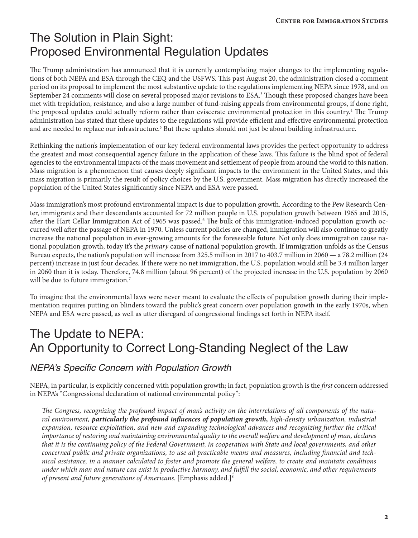### The Solution in Plain Sight: Proposed Environmental Regulation Updates

The Trump administration has announced that it is currently contemplating major changes to the implementing regulations of both NEPA and ESA through the CEQ and the USFWS. This past August 20, the administration closed a comment period on its proposal to implement the most substantive update to the regulations implementing NEPA since 1978, and on September 24 comments will close on several proposed major revisions to ESA.<sup>3</sup> Though these proposed changes have been met with trepidation, resistance, and also a large number of fund-raising appeals from environmental groups, if done right, the proposed updates could actually reform rather than eviscerate environmental protection in this country.<sup>4</sup> The Trump administration has stated that these updates to the regulations will provide efficient and effective environmental protection and are needed to replace our infrastructure.<sup>5</sup> But these updates should not just be about building infrastructure.

Rethinking the nation's implementation of our key federal environmental laws provides the perfect opportunity to address the greatest and most consequential agency failure in the application of these laws. This failure is the blind spot of federal agencies to the environmental impacts of the mass movement and settlement of people from around the world to this nation. Mass migration is a phenomenon that causes deeply significant impacts to the environment in the United States, and this mass migration is primarily the result of policy choices by the U.S. government. Mass migration has directly increased the population of the United States significantly since NEPA and ESA were passed.

Mass immigration's most profound environmental impact is due to population growth. According to the Pew Research Center, immigrants and their descendants accounted for 72 million people in U.S. population growth between 1965 and 2015, after the Hart Cellar Immigration Act of 1965 was passed.<sup>6</sup> The bulk of this immigration-induced population growth occurred well after the passage of NEPA in 1970. Unless current policies are changed, immigration will also continue to greatly increase the national population in ever-growing amounts for the foreseeable future. Not only does immigration cause national population growth, today it's the *primary* cause of national population growth. If immigration unfolds as the Census Bureau expects, the nation's population will increase from 325.5 million in 2017 to 403.7 million in 2060 — a 78.2 million (24 percent) increase in just four decades. If there were no net immigration, the U.S. population would still be 3.4 million larger in 2060 than it is today. Therefore, 74.8 million (about 96 percent) of the projected increase in the U.S. population by 2060 will be due to future immigration.<sup>7</sup>

To imagine that the environmental laws were never meant to evaluate the effects of population growth during their implementation requires putting on blinders toward the public's great concern over population growth in the early 1970s, when NEPA and ESA were passed, as well as utter disregard of congressional findings set forth in NEPA itself.

### The Update to NEPA: An Opportunity to Correct Long-Standing Neglect of the Law

#### NEPA's Specific Concern with Population Growth

NEPA, in particular, is explicitly concerned with population growth; in fact, population growth is the *first* concern addressed in NEPA's "Congressional declaration of national environmental policy":

*The Congress, recognizing the profound impact of man's activity on the interrelations of all components of the natural environment, particularly the profound influences of population growth, high-density urbanization, industrial expansion, resource exploitation, and new and expanding technological advances and recognizing further the critical importance of restoring and maintaining environmental quality to the overall welfare and development of man, declares that it is the continuing policy of the Federal Government, in cooperation with State and local governments, and other concerned public and private organizations, to use all practicable means and measures, including financial and technical assistance, in a manner calculated to foster and promote the general welfare, to create and maintain conditions under which man and nature can exist in productive harmony, and fulfill the social, economic, and other requirements of present and future generations of Americans.* [Emphasis added.]8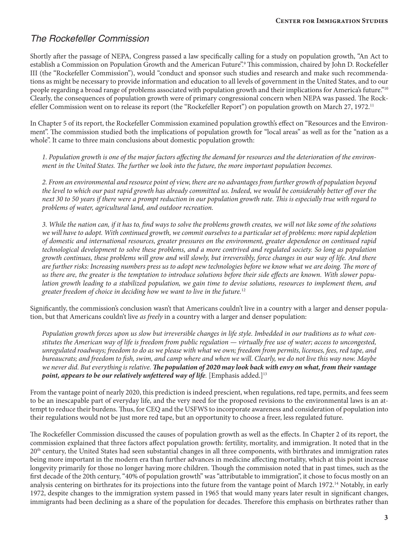#### The Rockefeller Commission

Shortly after the passage of NEPA, Congress passed a law specifically calling for a study on population growth, "An Act to establish a Commission on Population Growth and the American Future".9 This commission, chaired by John D. Rockefeller III (the "Rockefeller Commission"), would "conduct and sponsor such studies and research and make such recommendations as might be necessary to provide information and education to all levels of government in the United States, and to our people regarding a broad range of problems associated with population growth and their implications for America's future."10 Clearly, the consequences of population growth were of primary congressional concern when NEPA was passed. The Rockefeller Commission went on to release its report (the "Rockefeller Report") on population growth on March 27, 1972.<sup>11</sup>

In Chapter 5 of its report, the Rockefeller Commission examined population growth's effect on "Resources and the Environment". The commission studied both the implications of population growth for "local areas" as well as for the "nation as a whole". It came to three main conclusions about domestic population growth:

*1. Population growth is one of the major factors affecting the demand for resources and the deterioration of the environment in the United States. The further we look into the future, the more important population becomes.*

*2. From an environmental and resource point of view, there are no advantages from further growth of population beyond the level to which our past rapid growth has already committed us. Indeed, we would be considerably better off over the next 30 to 50 years if there were a prompt reduction in our population growth rate. This is especially true with regard to problems of water, agricultural land, and outdoor recreation.*

*3. While the nation can, if it has to, find ways to solve the problems growth creates, we will not like some of the solutions we will have to adopt. With continued growth, we commit ourselves to a particular set of problems: more rapid depletion of domestic and international resources, greater pressures on the environment, greater dependence on continued rapid technological development to solve these problems, and a more contrived and regulated society. So long as population growth continues, these problems will grow and will slowly, but irreversibly, force changes in our way of life. And there are further risks: Increasing numbers press us to adopt new technologies before we know what we are doing. The more of us there are, the greater is the temptation to introduce solutions before their side effects are known. With slower population growth leading to a stabilized population, we gain time to devise solutions, resources to implement them, and greater freedom of choice in deciding how we want to live in the future.*<sup>12</sup>

Significantly, the commission's conclusion wasn't that Americans couldn't live in a country with a larger and denser population, but that Americans couldn't live *as freely* in a country with a larger and denser population:

*Population growth forces upon us slow but irreversible changes in life style. Imbedded in our traditions as to what constitutes the American way of life is freedom from public regulation — virtually free use of water; access to uncongested, unregulated roadways; freedom to do as we please with what we own; freedom from permits, licenses, fees, red tape, and bureaucrats; and freedom to fish, swim, and camp where and when we will. Clearly, we do not live this way now. Maybe we never did. But everything is relative. The population of 2020 may look back with envy on what, from their vantage point, appears to be our relatively unfettered way of life.* [Emphasis added.]13

From the vantage point of nearly 2020, this prediction is indeed prescient, when regulations, red tape, permits, and fees seem to be an inescapable part of everyday life, and the very need for the proposed revisions to the environmental laws is an attempt to reduce their burdens. Thus, for CEQ and the USFWS to incorporate awareness and consideration of population into their regulations would not be just more red tape, but an opportunity to choose a freer, less regulated future.

The Rockefeller Commission discussed the causes of population growth as well as the effects. In Chapter 2 of its report, the commission explained that three factors affect population growth: fertility, mortality, and immigration. It noted that in the 20<sup>th</sup> century, the United States had seen substantial changes in all three components, with birthrates and immigration rates being more important in the modern era than further advances in medicine affecting mortality, which at this point increase longevity primarily for those no longer having more children. Though the commission noted that in past times, such as the first decade of the 20th century, "40% of population growth" was "attributable to immigration", it chose to focus mostly on an analysis centering on birthrates for its projections into the future from the vantage point of March 1972.14 Notably, in early 1972, despite changes to the immigration system passed in 1965 that would many years later result in significant changes, immigrants had been declining as a share of the population for decades. Therefore this emphasis on birthrates rather than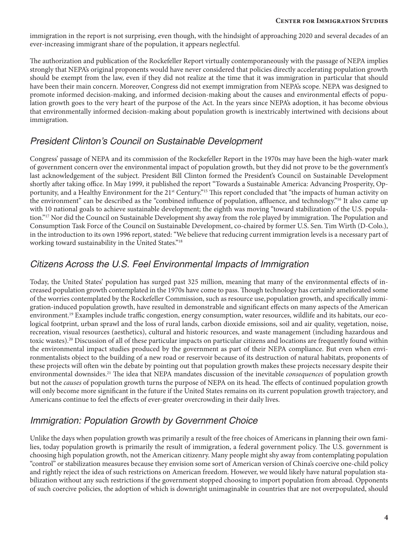#### **Center for Immigration Studies**

immigration in the report is not surprising, even though, with the hindsight of approaching 2020 and several decades of an ever-increasing immigrant share of the population, it appears neglectful.

The authorization and publication of the Rockefeller Report virtually contemporaneously with the passage of NEPA implies strongly that NEPA's original proponents would have never considered that policies directly accelerating population growth should be exempt from the law, even if they did not realize at the time that it was immigration in particular that should have been their main concern. Moreover, Congress did not exempt immigration from NEPA's scope. NEPA was designed to promote informed decision-making, and informed decision-making about the causes and environmental effects of population growth goes to the very heart of the purpose of the Act. In the years since NEPA's adoption, it has become obvious that environmentally informed decision-making about population growth is inextricably intertwined with decisions about immigration.

#### President Clinton's Council on Sustainable Development

Congress' passage of NEPA and its commission of the Rockefeller Report in the 1970s may have been the high-water mark of government concern over the environmental impact of population growth, but they did not prove to be the government's last acknowledgement of the subject. President Bill Clinton formed the President's Council on Sustainable Development shortly after taking office. In May 1999, it published the report "Towards a Sustainable America: Advancing Prosperity, Opportunity, and a Healthy Environment for the 21<sup>st</sup> Century."<sup>15</sup> This report concluded that "the impacts of human activity on the environment" can be described as the "combined influence of population, affluence, and technology."16 It also came up with 10 national goals to achieve sustainable development; the eighth was moving "toward stabilization of the U.S. population."17 Nor did the Council on Sustainable Development shy away from the role played by immigration. The Population and Consumption Task Force of the Council on Sustainable Development, co-chaired by former U.S. Sen. Tim Wirth (D-Colo.), in the introduction to its own 1996 report, stated: "We believe that reducing current immigration levels is a necessary part of working toward sustainability in the United States."18

#### Citizens Across the U.S. Feel Environmental Impacts of Immigration

Today, the United States' population has surged past 325 million, meaning that many of the environmental effects of increased population growth contemplated in the 1970s have come to pass. Though technology has certainly ameliorated some of the worries contemplated by the Rockefeller Commission, such as resource use,population growth, and specifically immigration-induced population growth, have resulted in demonstrable and significant effects on many aspects of the American environment.19 Examples include traffic congestion, energy consumption, water resources, wildlife and its habitats, our ecological footprint, urban sprawl and the loss of rural lands, carbon dioxide emissions, soil and air quality, vegetation, noise, recreation, visual resources (aesthetics), cultural and historic resources, and waste management (including hazardous and toxic wastes).20 Discussion of all of these particular impacts on particular citizens and locations are frequently found within the environmental impact studies produced by the government as part of their NEPA compliance. But even when environmentalists object to the building of a new road or reservoir because of its destruction of natural habitats, proponents of these projects will often win the debate by pointing out that population growth makes these projects necessary despite their environmental downsides.21 The idea that NEPA mandates discussion of the inevitable *consequences* of population growth but not the *causes* of population growth turns the purpose of NEPA on its head. The effects of continued population growth will only become more significant in the future if the United States remains on its current population growth trajectory, and Americans continue to feel the effects of ever-greater overcrowding in their daily lives.

#### Immigration: Population Growth by Government Choice

Unlike the days when population growth was primarily a result of the free choices of Americans in planning their own families, today population growth is primarily the result of immigration, a federal government policy. The U.S. government is choosing high population growth, not the American citizenry. Many people might shy away from contemplating population "control" or stabilization measures because they envision some sort of American version of China's coercive one-child policy and rightly reject the idea of such restrictions on American freedom. However, we would likely have natural population stabilization without any such restrictions if the government stopped choosing to import population from abroad. Opponents of such coercive policies, the adoption of which is downright unimaginable in countries that are not overpopulated, should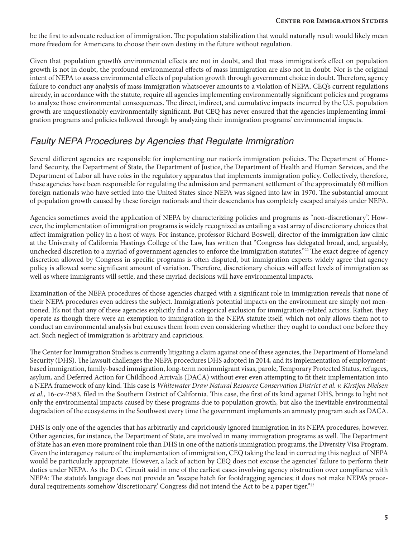be the first to advocate reduction of immigration. The population stabilization that would naturally result would likely mean more freedom for Americans to choose their own destiny in the future without regulation.

Given that population growth's environmental effects are not in doubt, and that mass immigration's effect on population growth is not in doubt, the profound environmental effects of mass immigration are also not in doubt. Nor is the original intent of NEPA to assess environmental effects of population growth through government choice in doubt. Therefore, agency failure to conduct any analysis of mass immigration whatsoever amounts to a violation of NEPA. CEQ's current regulations already, in accordance with the statute, require all agencies implementing environmentally significant policies and programs to analyze those environmental consequences. The direct, indirect, and cumulative impacts incurred by the U.S. population growth are unquestionably environmentally significant. But CEQ has never ensured that the agencies implementing immigration programs and policies followed through by analyzing their immigration programs' environmental impacts.

### Faulty NEPA Procedures by Agencies that Regulate Immigration

Several different agencies are responsible for implementing our nation's immigration policies. The Department of Homeland Security, the Department of State, the Department of Justice, the Department of Health and Human Services, and the Department of Labor all have roles in the regulatory apparatus that implements immigration policy. Collectively, therefore, these agencies have been responsible for regulating the admission and permanent settlement of the approximately 60 million foreign nationals who have settled into the United States since NEPA was signed into law in 1970. The substantial amount of population growth caused by these foreign nationals and their descendants has completely escaped analysis under NEPA.

Agencies sometimes avoid the application of NEPA by characterizing policies and programs as "non-discretionary". However, the implementation of immigration programs is widely recognized as entailing a vast array of discretionary choices that affect immigration policy in a host of ways. For instance, professor Richard Boswell, director of the immigration law clinic at the University of California Hastings College of the Law, has written that "Congress has delegated broad, and, arguably, unchecked discretion to a myriad of government agencies to enforce the immigration statutes."<sup>22</sup> The exact degree of agency discretion allowed by Congress in specific programs is often disputed, but immigration experts widely agree that agency policy is allowed some significant amount of variation. Therefore, discretionary choices will affect levels of immigration as well as where immigrants will settle, and these myriad decisions will have environmental impacts.

Examination of the NEPA procedures of those agencies charged with a significant role in immigration reveals that none of their NEPA procedures even address the subject. Immigration's potential impacts on the environment are simply not mentioned. It's not that any of these agencies explicitly find a categorical exclusion for immigration-related actions. Rather, they operate as though there were an exemption to immigration in the NEPA statute itself, which not only allows them not to conduct an environmental analysis but excuses them from even considering whether they ought to conduct one before they act. Such neglect of immigration is arbitrary and capricious.

The Center for Immigration Studies is currently litigating a claim against one of these agencies, the Department of Homeland Security (DHS). The lawsuit challenges the NEPA procedures DHS adopted in 2014, and its implementation of employmentbased immigration, family-based immigration, long-term nonimmigrant visas, parole, Temporary Protected Status, refugees, asylum, and Deferred Action for Childhood Arrivals (DACA) without ever even attempting to fit their implementation into a NEPA framework of any kind. This case is *Whitewater Draw Natural Resource Conservation District et al. v. Kirstjen Nielsen et al.*, 16-cv-2583, filed in the Southern District of California. This case, the first of its kind against DHS, brings to light not only the environmental impacts caused by these programs due to population growth, but also the inevitable environmental degradation of the ecosystems in the Southwest every time the government implements an amnesty program such as DACA.

DHS is only one of the agencies that has arbitrarily and capriciously ignored immigration in its NEPA procedures, however. Other agencies, for instance, the Department of State, are involved in many immigration programs as well. The Department of State has an even more prominent role than DHS in one of the nation's immigration programs, the Diversity Visa Program. Given the interagency nature of the implementation of immigration, CEQ taking the lead in correcting this neglect of NEPA would be particularly appropriate. However, a lack of action by CEQ does not excuse the agencies' failure to perform their duties under NEPA. As the D.C. Circuit said in one of the earliest cases involving agency obstruction over compliance with NEPA: The statute's language does not provide an "escape hatch for footdragging agencies; it does not make NEPA's procedural requirements somehow 'discretionary'. Congress did not intend the Act to be a paper tiger."<sup>23</sup>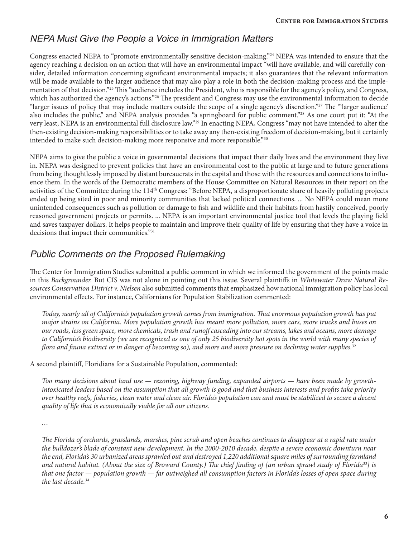#### NEPA Must Give the People a Voice in Immigration Matters

Congress enacted NEPA to "promote environmentally sensitive decision-making."24 NEPA was intended to ensure that the agency reaching a decision on an action that will have an environmental impact "will have available, and will carefully consider, detailed information concerning significant environmental impacts; it also guarantees that the relevant information will be made available to the larger audience that may also play a role in both the decision-making process and the implementation of that decision."25 This "audience includes the President, who is responsible for the agency's policy, and Congress, which has authorized the agency's actions."<sup>26</sup> The president and Congress may use the environmental information to decide "larger issues of policy that may include matters outside the scope of a single agency's discretion."27 The "'larger audience' also includes the public," and NEPA analysis provides "a springboard for public comment."28 As one court put it: "At the very least, NEPA is an environmental full disclosure law."29 In enacting NEPA, Congress "may not have intended to alter the then-existing decision-making responsibilities or to take away any then-existing freedom of decision-making, but it certainly intended to make such decision-making more responsive and more responsible."30

NEPA aims to give the public a voice in governmental decisions that impact their daily lives and the environment they live in. NEPA was designed to prevent policies that have an environmental cost to the public at large and to future generations from being thoughtlessly imposed by distant bureaucrats in the capital and those with the resources and connections to influence them. In the words of the Democratic members of the House Committee on Natural Resources in their report on the activities of the Committee during the 114<sup>th</sup> Congress: "Before NEPA, a disproportionate share of heavily polluting projects ended up being sited in poor and minority communities that lacked political connections. ... No NEPA could mean more unintended consequences such as pollution or damage to fish and wildlife and their habitats from hastily conceived, poorly reasoned government projects or permits. ... NEPA is an important environmental justice tool that levels the playing field and saves taxpayer dollars. It helps people to maintain and improve their quality of life by ensuring that they have a voice in decisions that impact their communities."31

#### Public Comments on the Proposed Rulemaking

The Center for Immigration Studies submitted a public comment in which we informed the government of the points made in this *Backgrounder.* But CIS was not alone in pointing out this issue. Several plaintiffs in *Whitewater Draw Natural Resources Conservation District v. Nielsen* also submitted comments that emphasized how national immigration policy has local environmental effects. For instance, Californians for Population Stabilization commented:

*Today, nearly all of California's population growth comes from immigration. That enormous population growth has put major strains on California. More population growth has meant more pollution, more cars, more trucks and buses on our roads, less green space, more chemicals, trash and runoff cascading into our streams, lakes and oceans, more damage to California's biodiversity (we are recognized as one of only 25 biodiversity hot spots in the world with many species of flora and fauna extinct or in danger of becoming so), and more and more pressure on declining water supplies.*<sup>32</sup>

A second plaintiff, Floridians for a Sustainable Population, commented:

*Too many decisions about land use — rezoning, highway funding, expanded airports — have been made by growthintoxicated leaders based on the assumption that all growth is good and that business interests and profits take priority over healthy reefs, fisheries, clean water and clean air. Florida's population can and must be stabilized to secure a decent quality of life that is economically viable for all our citizens.* 

*…*

*The Florida of orchards, grasslands, marshes, pine scrub and open beaches continues to disappear at a rapid rate under the bulldozer's blade of constant new development. In the 2000-2010 decade, despite a severe economic downturn near the end, Florida's 30 urbanized areas sprawled out and destroyed 1,220 additional square miles of surrounding farmland and natural habitat. (About the size of Broward County.) The chief finding of [an urban sprawl study of Florida33] is that one factor — population growth — far outweighed all consumption factors in Florida's losses of open space during the last decade.34*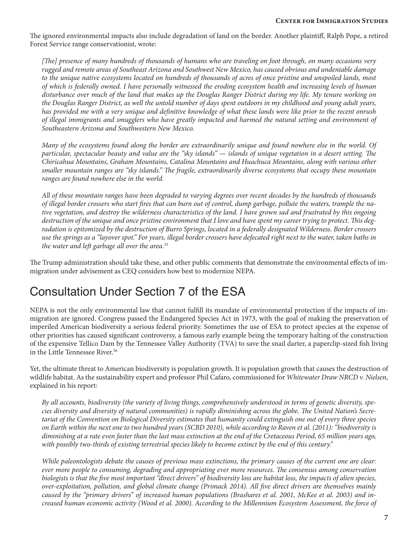The ignored environmental impacts also include degradation of land on the border. Another plaintiff, Ralph Pope, a retired Forest Service range conservationist, wrote:

*[The] presence of many hundreds of thousands of humans who are traveling on foot through, on many occasions very rugged and remote areas of Southeast Arizona and Southwest New Mexico, has caused obvious and undeniable damage*  to the unique native ecosystems located on hundreds of thousands of acres of once pristine and unspoiled lands, most *of which is federally owned. I have personally witnessed the eroding ecosystem health and increasing levels of human disturbance over much of the land that makes up the Douglas Ranger District during my life. My tenure working on the Douglas Ranger District, as well the untold number of days spent outdoors in my childhood and young adult years, has provided me with a very unique and definitive knowledge of what these lands were like prior to the recent onrush of illegal immigrants and smugglers who have greatly impacted and harmed the natural setting and environment of Southeastern Arizona and Southwestern New Mexico.*

*Many of the ecosystems found along the border are extraordinarily unique and found nowhere else in the world. Of particular, spectacular beauty and value are the "sky islands" — islands of unique vegetation in a desert setting. The Chiricahua Mountains, Graham Mountains, Catalina Mountains and Huachuca Mountains, along with various other smaller mountain ranges are "sky islands." The fragile, extraordinarily diverse ecosystems that occupy these mountain ranges are found nowhere else in the world.*

*All of these mountain ranges have been degraded to varying degrees over recent decades by the hundreds of thousands of illegal border crossers who start fires that can burn out of control, dump garbage, pollute the waters, trample the native vegetation, and destroy the wilderness characteristics of the land. I have grown sad and frustrated by this ongoing destruction of the unique and once pristine environment that I love and have spent my career trying to protect. This degradation is epitomized by the destruction of Burro Springs, located in a federally designated Wilderness. Border crossers use the springs as a "layover spot." For years, illegal border crossers have defecated right next to the water, taken baths in the water and left garbage all over the area.*<sup>35</sup>

The Trump administration should take these, and other public comments that demonstrate the environmental effects of immigration under advisement as CEQ considers how best to modernize NEPA.

### Consultation Under Section 7 of the ESA

NEPA is not the only environmental law that cannot fulfill its mandate of environmental protection if the impacts of immigration are ignored. Congress passed the Endangered Species Act in 1973, with the goal of making the preservation of imperiled American biodiversity a serious federal priority. Sometimes the use of ESA to protect species at the expense of other priorities has caused significant controversy, a famous early example being the temporary halting of the construction of the expensive Tellico Dam by the Tennessee Valley Authority (TVA) to save the snail darter, a paperclip-sized fish living in the Little Tennessee River.36

Yet, the ultimate threat to American biodiversity is population growth. It is population growth that causes the destruction of wildlife habitat. As the sustainability expert and professor Phil Cafaro, commissioned for *Whitewater Draw NRCD v. Nielsen*, explained in his report:

*By all accounts, biodiversity (the variety of living things, comprehensively understood in terms of genetic diversity, species diversity and diversity of natural communities) is rapidly diminishing across the globe. The United Nation's Secretariat of the Convention on Biological Diversity estimates that humanity could extinguish one out of every three species on Earth within the next one to two hundred years (SCBD 2010), while according to Raven et al. (2011): "biodiversity is diminishing at a rate even faster than the last mass extinction at the end of the Cretaceous Period, 65 million years ago, with possibly two-thirds of existing terrestrial species likely to become extinct by the end of this century."*

*While paleontologists debate the causes of previous mass extinctions, the primary causes of the current one are clear: ever more people to consuming, degrading and appropriating ever more resources. The consensus among conservation biologists is that the five most important "direct drivers" of biodiversity loss are habitat loss, the impacts of alien species, over-exploitation, pollution, and global climate change (Primack 2014). All five direct drivers are themselves mainly caused by the "primary drivers" of increased human populations (Brashares et al. 2001, McKee et al. 2003) and increased human economic activity (Wood et al. 2000). According to the Millennium Ecosystem Assessment, the force of*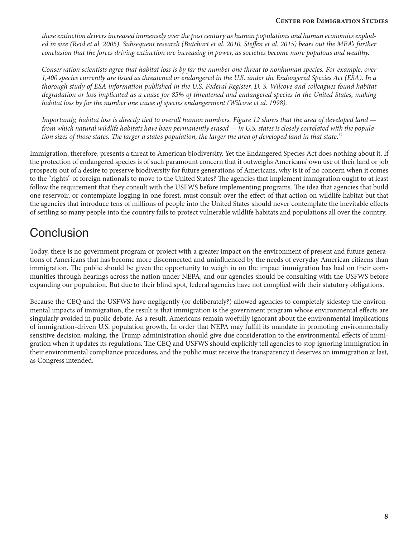*these extinction drivers increased immensely over the past century as human populations and human economies exploded in size (Reid et al. 2005). Subsequent research (Butchart et al. 2010, Steffen et al. 2015) bears out the MEA's further conclusion that the forces driving extinction are increasing in power, as societies become more populous and wealthy.* 

*Conservation scientists agree that habitat loss is by far the number one threat to nonhuman species. For example, over 1,400 species currently are listed as threatened or endangered in the U.S. under the Endangered Species Act (ESA). In a thorough study of ESA information published in the U.S. Federal Register, D. S. Wilcove and colleagues found habitat degradation or loss implicated as a cause for 85% of threatened and endangered species in the United States, making habitat loss by far the number one cause of species endangerment (Wilcove et al. 1998).*

*Importantly, habitat loss is directly tied to overall human numbers. Figure 12 shows that the area of developed land from which natural wildlife habitats have been permanently erased — in U.S. states is closely correlated with the popula*tion sizes of those states. The larger a state's population, the larger the area of developed land in that state.<sup>37</sup>

Immigration, therefore, presents a threat to American biodiversity. Yet the Endangered Species Act does nothing about it. If the protection of endangered species is of such paramount concern that it outweighs Americans' own use of their land or job prospects out of a desire to preserve biodiversity for future generations of Americans, why is it of no concern when it comes to the "rights" of foreign nationals to move to the United States? The agencies that implement immigration ought to at least follow the requirement that they consult with the USFWS before implementing programs. The idea that agencies that build one reservoir, or contemplate logging in one forest, must consult over the effect of that action on wildlife habitat but that the agencies that introduce tens of millions of people into the United States should never contemplate the inevitable effects of settling so many people into the country fails to protect vulnerable wildlife habitats and populations all over the country.

### **Conclusion**

Today, there is no government program or project with a greater impact on the environment of present and future generations of Americans that has become more disconnected and uninfluenced by the needs of everyday American citizens than immigration. The public should be given the opportunity to weigh in on the impact immigration has had on their communities through hearings across the nation under NEPA, and our agencies should be consulting with the USFWS before expanding our population. But due to their blind spot, federal agencies have not complied with their statutory obligations.

Because the CEQ and the USFWS have negligently (or deliberately?) allowed agencies to completely sidestep the environmental impacts of immigration, the result is that immigration is the government program whose environmental effects are singularly avoided in public debate. As a result, Americans remain woefully ignorant about the environmental implications of immigration-driven U.S. population growth. In order that NEPA may fulfill its mandate in promoting environmentally sensitive decision-making, the Trump administration should give due consideration to the environmental effects of immigration when it updates its regulations. The CEQ and USFWS should explicitly tell agencies to stop ignoring immigration in their environmental compliance procedures, and the public must receive the transparency it deserves on immigration at last, as Congress intended.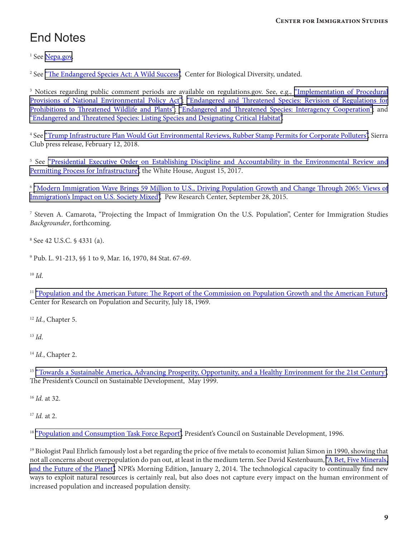## End Notes

<sup>1</sup> See <u>[Nepa.gov](https://ceq.doe.gov/)</u>.

<sup>2</sup> See <u>["The Endangered Species Act: A Wild Success"](https://www.biologicaldiversity.org/campaigns/esa_wild_success/),</u> Center for Biological Diversity, undated.

<sup>3</sup> Notices regarding public comment periods are available on regulations.gov. See, e.g., <u>"Implementation of Procedural</u> [Provisions of National Environmental Policy Act";](https://www.regulations.gov/document?D=CEQ-2018-0001-0001) ["Endangered and Threatened Species: Revision of Regulations for](https://www.regulations.gov/document?D=FWS-HQ-ES-2018-0007-0001) [Prohibitions to Threatened Wildlife and Plants"](https://www.regulations.gov/document?D=FWS-HQ-ES-2018-0007-0001); ["Endangered and Threatened Species: Interagency Cooperation"](https://www.regulations.gov/document?D=FWS-HQ-ES-2018-0009-0001); and ["Endangered and Threatened Species: Listing Species and Designating Critical Habitat".](https://www.regulations.gov/document?D=FWS-HQ-ES-2018-0006-0001)

<sup>4</sup> See <u>"Trump Infrastructure Plan Would Gut Environmental Reviews, Rubber Stamp Permits for Corporate Polluters", Sierra</u> Club press release, February 12, 2018.

<sup>5</sup> See <u>"Presidential Executive Order on Establishing Discipline and Accountability in the Environmental Review and</u> [Permitting Process for Infrastructure"](https://www.whitehouse.gov/presidential-actions/presidential-executive-order-establishing-discipline-accountability-environmental-review-permitting-process-infrastructure/), the White House, August 15, 2017.

<sup>6</sup> "Modern Immigration Wave Brings 59 Million to U.S., Driving Population Growth and Change Through 2065: Views of [Immigration's Impact on U.S. Society Mixed",](http://www.pewhispanic.org/2015/09/28/modern-immigration-wave-brings-59-million-to-u-s-driving-population-growth-and-change-through-2065/ph_2015-09-28_immigration-through-2065-03/) Pew Research Center, September 28, 2015.

7 Steven A. Camarota, "Projecting the Impact of Immigration On the U.S. Population", Center for Immigration Studies *Backgrounder*, forthcoming.

8 See 42 U.S.C. § 4331 (a).

9 Pub. L. 91-213, §§ 1 to 9, Mar. 16, 1970, 84 Stat. 67-69.

<sup>10</sup> *Id*.

<sup>11</sup> ["Population and the American Future: The Report of the Commission on Population Growth and the American Future"](http://www.population-security.org/rockefeller/001_population_growth_and_the_american_future.htm), Center for Research on Population and Security, July 18, 1969.

<sup>12</sup> *Id.*, Chapter 5.

<sup>13</sup> *Id*.

<sup>14</sup> *Id.*, Chapter 2.

<sup>15</sup> ["Towards a Sustainable America, Advancing Prosperity, Opportunity, and a Healthy Environment for the 21st Century"](https://clintonwhitehouse2.archives.gov/PCSD/Publications/tsa.pdf), The President's Council on Sustainable Development, May 1999.

<sup>16</sup> *Id.* at 32.

<sup>17</sup> *Id.* at 2.

<sup>18</sup> ["Population and Consumption Task Force Report"](https://clintonwhitehouse2.archives.gov/PCSD/Publications/TF_Reports/pop-intr.html), President's Council on Sustainable Development, 1996.

<sup>19</sup> Biologist Paul Ehrlich famously lost a bet regarding the price of five metals to economist Julian Simon in 1990, showing that not all concerns about overpopulation do pan out, at least in the medium term. See David Kestenbaum, *"A Bet*, Five Minerals, [and the Future of the Planet"](https://www.npr.org/sections/money/2013/12/31/258687278/a-bet-five-metals-and-the-future-of-the-planet), NPR's Morning Edition, January 2, 2014. The technological capacity to continually find new ways to exploit natural resources is certainly real, but also does not capture every impact on the human environment of increased population and increased population density.